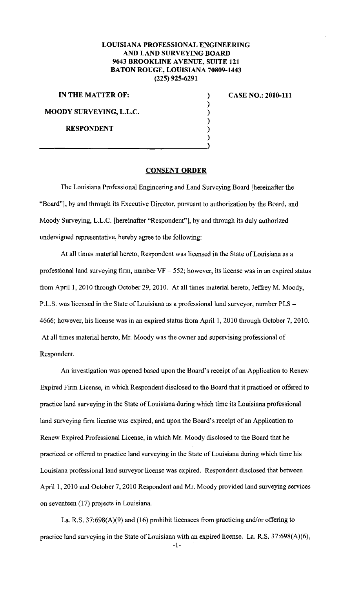## **LOUISIANA PROFESSIONAL ENGINEERING AND LAND SURVEYING BOARD 9643 BROOKLINE AVENUE, SUITE 121 BATON ROUGE, LOUISIANA 70809-1443 (225) 925-6291**

) ) ) ) ) )

**IN THE MATTER OF:** 

**MOODY SURVEYING, L.L.C.** 

**RESPONDENT** 

**CASE NO.: 2010-111** 

## **CONSENT ORDER**

The Louisiana Professional Engineering and Land Surveying Board [hereinafter the "Board"], by and through its Executive Director, pursuant to authorization by the Board, and Moody Surveying, L.L.C. [hereinafter "Respondent"], by and through its duly authorized undersigned representative, hereby agree to the following:

At all times material hereto, Respondent was licensed in the State of Louisiana as a professional land surveying firm, number  $VF - 552$ ; however, its license was in an expired status from April 1, 2010 through October 29, 2010. At all times material hereto, Jeffrey M. Moody, P.L.S. was licensed in the State of Louisiana as a professional land surveyor, number PLS-4666; however, his license was in an expired status from April 1, 2010 through October 7, 2010. At all times material hereto, Mr. Moody was the owner and supervising professional of Respondent.

An investigation was opened based upon the Board's receipt of an Application to Renew Expired Firm License, in which Respondent disclosed to the Board that it practiced or offered to practice land surveying in the State of Louisiana during which time its Louisiana professional land surveying firm license was expired, and upon the Board's receipt of an Application to Renew Expired Professional License, in which Mr. Moody disclosed to the Board that he practiced or offered to practice land surveying in the State of Louisiana during which time his Louisiana professional land surveyor license was expired. Respondent disclosed that between April I, 2010 and October 7, 2010 Respondent and Mr. Moody provided land surveying services on seventeen (17) projects in Louisiana.

La. R.S. 37:698(A)(9) and (16) prohibit licensees from practicing and/or offering to practice land surveying in the State of Louisiana with an expired license. La. R.S. 37:698(A)(6),

-I-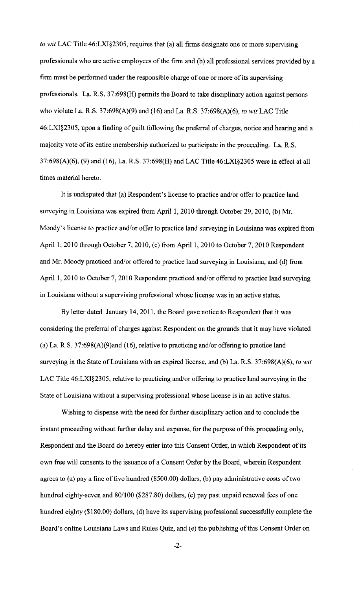*to wit* LAC Title 46:LXI§2305, requires that (a) all firms designate one or more supervising professionals who are active employees of the firm and (b) all professional services provided by a firm must be performed under the responsible charge of one or more of its supervising professionals. La. R.S. 37:698(H) permits the Board to take disciplinary action against persons who violate La. R.S. 37:698(A)(9) and (16) and La. R.S. 37:698(A)(6), *to wit* LAC Title 46:LXI§2305, upon a finding of guilt following the preferral of charges, notice and hearing and a majority vote of its entire membership authorized to participate in the proceeding. La. R.S. 37:698(A)(6), (9) and (16), La. R.S. 37:698(H) and LAC Title 46:LXI§2305 were in effect at all times material hereto.

It is undisputed that (a) Respondent's license to practice and/or offer to practice land surveying in Louisiana was expired from April 1, 2010 through October 29, 2010, (b) Mr. Moody's license to practice and/or offer to practice land surveying in Louisiana was expired from April 1, 2010 through October 7, 2010, (c) from April 1, 2010 to October 7, 2010 Respondent and Mr. Moody practiced and/or offered to practice land surveying in Louisiana, and (d) from April 1, 2010 to October 7, 2010 Respondent practiced and/or offered to practice land surveying in Louisiana without a supervising professional whose license was in an active status.

By letter dated January 14,2011, the Board gave notice to Respondent that it was considering the preferral of charges against Respondent on the grounds that it may have violated (a) La. R.S. 37:698(A)(9)and (16), relative to practicing and/or offering to practice land surveying in the State of Louisiana with an expired license, and (b) La. R.S. 37:698(A)(6), *to* wit LAC Title 46:LXI§2305, relative to practicing and/or offering to practice land surveying in the State of Louisiana without a supervising professional whose license is in an active status.

Wishing to dispense with the need for further disciplinary action and to conclude the instant proceeding without further delay and expense, for the purpose of this proceeding only, Respondent and the Board do hereby enter into this Consent Order, in which Respondent of its own free will consents to the issuance of a Consent Order by the Board, wherein Respondent agrees to (a) pay a fine of five hundred (\$500.00) dollars, (b) pay administrative costs of two hundred eighty-seven and 80/100 (\$287.80) dollars, (c) pay past unpaid renewal fees of one hundred eighty (\$180.00) dollars, (d) have its supervising professional successfully complete the Board's online Louisiana Laws and Rules Quiz, and (e) the publishing of this Consent Order on

-2-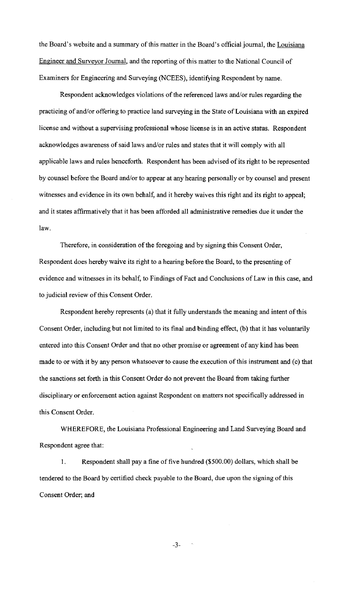the Board's website and a summary of this matter in the Board's official journal, the Louisiana Engineer and Surveyor Journal, and the reporting of this matter to the National Council of Examiners for Engineering and Surveying (NCEES), identifying Respondent by name.

Respondent acknowledges violations of the referenced Jaws and/or rules regarding the practicing of and/or offering to practice land surveying in the State of Louisiana with an expired license and without a supervising professional whose license is in an active status. Respondent acknowledges awareness of said laws and/or rules and states that it will comply with all applicable laws and rules henceforth. Respondent has been advised of its right to be represented by counsel before the Board and/or to appear at any hearing personally or by counsel and present witnesses and evidence in its own behalf, and it hereby waives this right and its right to appeal; and it states affirmatively that it has been afforded all administrative remedies due it under the law.

Therefore, in consideration of the foregoing and by signing this Consent Order, Respondent does hereby waive its right to a hearing before the Board, to the presenting of evidence and witnesses in its behalf, to Findings of Fact and Conclusions of Law in this case, and to judicial review of this Consent Order.

Respondent hereby represents (a) that it fully understands the meaning and intent of this Consent Order, including but not limited to its final and binding effect, (b) that it has voluntarily entered into this Consent Order and that no other promise or agreement of any kind has been made to or with it by any person whatsoever to cause the execution of this instrument and (c) that the sanctions set forth in this Consent Order do not prevent the Board from taking further disciplinary or enforcement action against Respondent on matters not specifically addressed in this Consent Order.

WHEREFORE, the Louisiana Professional Engineering and Land Surveying Board and Respondent agree that:

I. Respondent shall pay a fine of five hundred (\$500.00) dollars, which shall be tendered to the Board by certified check payable to the Board, due upon the signing of this Consent Order; and